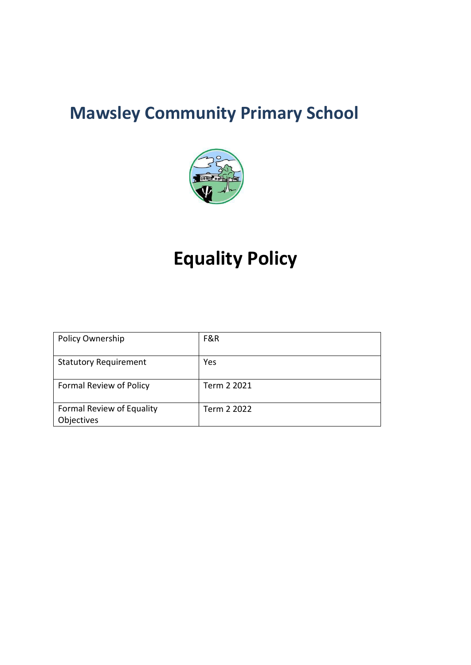# **Mawsley Community Primary School**



# **Equality Policy**

| <b>Policy Ownership</b>                 | F&R         |
|-----------------------------------------|-------------|
| <b>Statutory Requirement</b>            | Yes         |
| Formal Review of Policy                 | Term 2 2021 |
| Formal Review of Equality<br>Objectives | Term 2 2022 |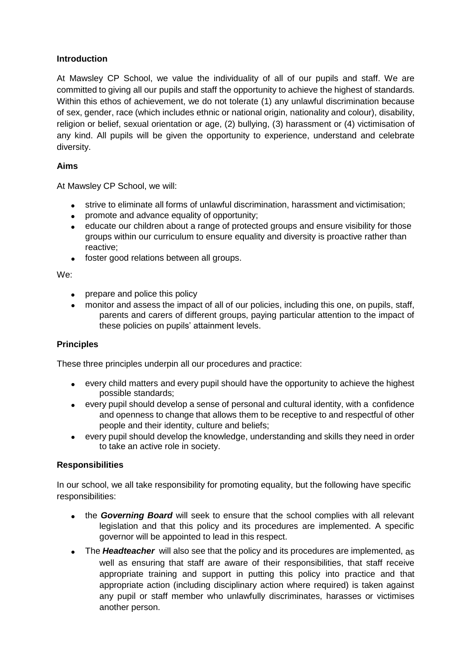# **Introduction**

At Mawsley CP School, we value the individuality of all of our pupils and staff. We are committed to giving all our pupils and staff the opportunity to achieve the highest of standards. Within this ethos of achievement, we do not tolerate (1) any unlawful discrimination because of sex, gender, race (which includes ethnic or national origin, nationality and colour), disability, religion or belief, sexual orientation or age, (2) bullying, (3) harassment or (4) victimisation of any kind. All pupils will be given the opportunity to experience, understand and celebrate diversity.

# **Aims**

At Mawsley CP School, we will:

- strive to eliminate all forms of unlawful discrimination, harassment and victimisation;
- promote and advance equality of opportunity;
- educate our children about a range of protected groups and ensure visibility for those groups within our curriculum to ensure equality and diversity is proactive rather than reactive;
- foster good relations between all groups.

We:

- prepare and police this policy
- monitor and assess the impact of all of our policies, including this one, on pupils, staff, parents and carers of different groups, paying particular attention to the impact of these policies on pupils' attainment levels.

## **Principles**

These three principles underpin all our procedures and practice:

- every child matters and every pupil should have the opportunity to achieve the highest possible standards;
- every pupil should develop a sense of personal and cultural identity, with a confidence and openness to change that allows them to be receptive to and respectful of other people and their identity, culture and beliefs;
- every pupil should develop the knowledge, understanding and skills they need in order to take an active role in society.

## **Responsibilities**

In our school, we all take responsibility for promoting equality, but the following have specific responsibilities:

- the *Governing Board* will seek to ensure that the school complies with all relevant legislation and that this policy and its procedures are implemented. A specific governor will be appointed to lead in this respect.
- The **Headteacher** will also see that the policy and its procedures are implemented, as well as ensuring that staff are aware of their responsibilities, that staff receive appropriate training and support in putting this policy into practice and that appropriate action (including disciplinary action where required) is taken against any pupil or staff member who unlawfully discriminates, harasses or victimises another person.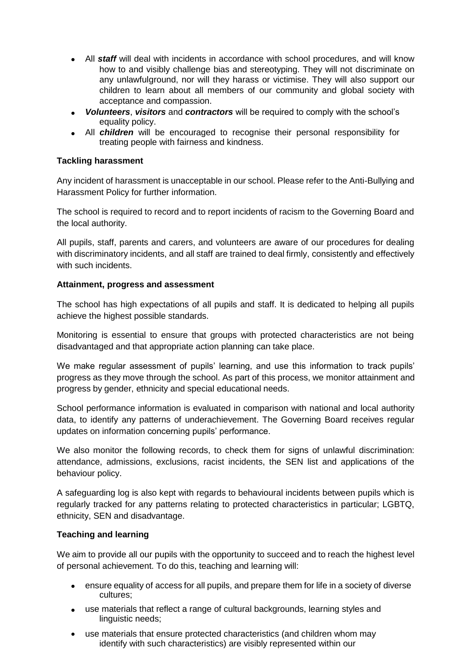- All *staff* will deal with incidents in accordance with school procedures, and will know how to and visibly challenge bias and stereotyping. They will not discriminate on any unlawfulground, nor will they harass or victimise. They will also support our children to learn about all members of our community and global society with acceptance and compassion.
- *Volunteers*, *visitors* and *contractors* will be required to comply with the school's equality policy.
- All *children* will be encouraged to recognise their personal responsibility for treating people with fairness and kindness.

# **Tackling harassment**

Any incident of harassment is unacceptable in our school. Please refer to the Anti-Bullying and Harassment Policy for further information.

The school is required to record and to report incidents of racism to the Governing Board and the local authority.

All pupils, staff, parents and carers, and volunteers are aware of our procedures for dealing with discriminatory incidents, and all staff are trained to deal firmly, consistently and effectively with such incidents.

# **Attainment, progress and assessment**

The school has high expectations of all pupils and staff. It is dedicated to helping all pupils achieve the highest possible standards.

Monitoring is essential to ensure that groups with protected characteristics are not being disadvantaged and that appropriate action planning can take place.

We make regular assessment of pupils' learning, and use this information to track pupils' progress as they move through the school. As part of this process, we monitor attainment and progress by gender, ethnicity and special educational needs.

School performance information is evaluated in comparison with national and local authority data, to identify any patterns of underachievement. The Governing Board receives regular updates on information concerning pupils' performance.

We also monitor the following records, to check them for signs of unlawful discrimination: attendance, admissions, exclusions, racist incidents, the SEN list and applications of the behaviour policy.

A safeguarding log is also kept with regards to behavioural incidents between pupils which is regularly tracked for any patterns relating to protected characteristics in particular; LGBTQ, ethnicity, SEN and disadvantage.

## **Teaching and learning**

We aim to provide all our pupils with the opportunity to succeed and to reach the highest level of personal achievement. To do this, teaching and learning will:

- ensure equality of access for all pupils, and prepare them for life in a society of diverse cultures;
- use materials that reflect a range of cultural backgrounds, learning styles and linguistic needs;
- use materials that ensure protected characteristics (and children whom may identify with such characteristics) are visibly represented within our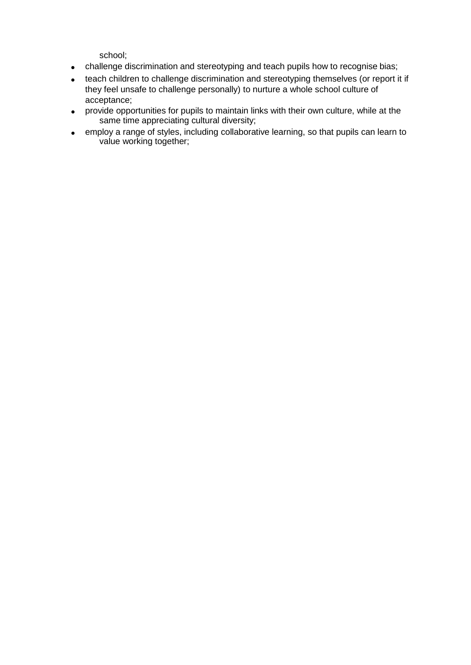school;

- challenge discrimination and stereotyping and teach pupils how to recognise bias;
- teach children to challenge discrimination and stereotyping themselves (or report it if they feel unsafe to challenge personally) to nurture a whole school culture of acceptance;
- provide opportunities for pupils to maintain links with their own culture, while at the same time appreciating cultural diversity;
- employ a range of styles, including collaborative learning, so that pupils can learn to value working together;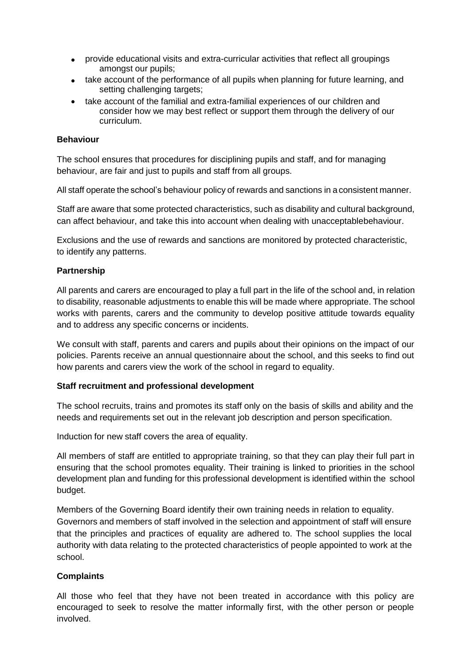- provide educational visits and extra-curricular activities that reflect all groupings amongst our pupils;
- take account of the performance of all pupils when planning for future learning, and setting challenging targets;
- take account of the familial and extra-familial experiences of our children and consider how we may best reflect or support them through the delivery of our curriculum.

## **Behaviour**

The school ensures that procedures for disciplining pupils and staff, and for managing behaviour, are fair and just to pupils and staff from all groups.

All staff operate the school's behaviour policy of rewards and sanctions in a consistent manner.

Staff are aware that some protected characteristics, such as disability and cultural background, can affect behaviour, and take this into account when dealing with unacceptablebehaviour.

Exclusions and the use of rewards and sanctions are monitored by protected characteristic, to identify any patterns.

#### **Partnership**

All parents and carers are encouraged to play a full part in the life of the school and, in relation to disability, reasonable adjustments to enable this will be made where appropriate. The school works with parents, carers and the community to develop positive attitude towards equality and to address any specific concerns or incidents.

We consult with staff, parents and carers and pupils about their opinions on the impact of our policies. Parents receive an annual questionnaire about the school, and this seeks to find out how parents and carers view the work of the school in regard to equality.

#### **Staff recruitment and professional development**

The school recruits, trains and promotes its staff only on the basis of skills and ability and the needs and requirements set out in the relevant job description and person specification.

Induction for new staff covers the area of equality.

All members of staff are entitled to appropriate training, so that they can play their full part in ensuring that the school promotes equality. Their training is linked to priorities in the school development plan and funding for this professional development is identified within the school budget.

Members of the Governing Board identify their own training needs in relation to equality. Governors and members of staff involved in the selection and appointment of staff will ensure that the principles and practices of equality are adhered to. The school supplies the local authority with data relating to the protected characteristics of people appointed to work at the school.

## **Complaints**

All those who feel that they have not been treated in accordance with this policy are encouraged to seek to resolve the matter informally first, with the other person or people involved.